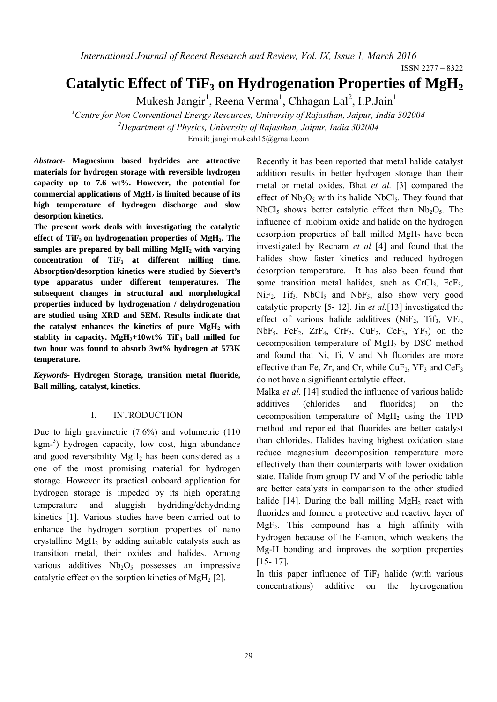*International Journal of Recent Research and Review, Vol. IX, Issue 1, March 2016* 

ISSN 2277 – 8322

# Catalytic Effect of TiF<sub>3</sub> on Hydrogenation Properties of MgH<sub>2</sub>

Mukesh Jangir<sup>1</sup>, Reena Verma<sup>1</sup>, Chhagan Lal<sup>2</sup>, I.P.Jain<sup>1</sup>

*1 Centre for Non Conventional Energy Resources, University of Rajasthan, Jaipur, India 302004 2 Department of Physics, University of Rajasthan, Jaipur, India 302004* 

Email: jangirmukesh15@gmail.com

*Abstract-* **Magnesium based hydrides are attractive materials for hydrogen storage with reversible hydrogen capacity up to 7.6 wt%. However, the potential for**  commercial applications of MgH<sub>2</sub> is limited because of its **high temperature of hydrogen discharge and slow desorption kinetics.** 

**The present work deals with investigating the catalytic**  effect of TiF<sub>3</sub> on hydrogenation properties of MgH<sub>2</sub>. The **samples are prepared by ball milling MgH2 with varying**  concentration of TiF<sub>3</sub> at different milling time. **Absorption/desorption kinetics were studied by Sievert's type apparatus under different temperatures. The subsequent changes in structural and morphological properties induced by hydrogenation / dehydrogenation are studied using XRD and SEM. Results indicate that the catalyst enhances the kinetics of pure MgH2 with**  stablity in capacity.  $MgH_2+10wt\%$  TiF<sub>3</sub> ball milled for **two hour was found to absorb 3wt% hydrogen at 573K temperature.** 

*Keywords***- Hydrogen Storage, transition metal fluoride, Ball milling, catalyst, kinetics.** 

## I. INTRODUCTION

Due to high gravimetric (7.6%) and volumetric (110 kgm-<sup>3</sup>) hydrogen capacity, low cost, high abundance and good reversibility MgH<sub>2</sub> has been considered as a one of the most promising material for hydrogen storage. However its practical onboard application for hydrogen storage is impeded by its high operating temperature and sluggish hydriding/dehydriding kinetics [1]. Various studies have been carried out to enhance the hydrogen sorption properties of nano crystalline  $MgH<sub>2</sub>$  by adding suitable catalysts such as transition metal, their oxides and halides. Among various additives  $Nb<sub>2</sub>O<sub>5</sub>$  possesses an impressive catalytic effect on the sorption kinetics of MgH<sub>2</sub> [2].

Recently it has been reported that metal halide catalyst addition results in better hydrogen storage than their metal or metal oxides. Bhat *et al.* [3] compared the effect of  $Nb<sub>2</sub>O<sub>5</sub>$  with its halide NbCl<sub>5</sub>. They found that  $NbCl<sub>5</sub>$  shows better catalytic effect than  $Nb<sub>2</sub>O<sub>5</sub>$ . The influence of niobium oxide and halide on the hydrogen desorption properties of ball milled  $MgH<sub>2</sub>$  have been investigated by Recham *et al* [4] and found that the halides show faster kinetics and reduced hydrogen desorption temperature. It has also been found that some transition metal halides, such as  $CrCl<sub>3</sub>$ ,  $FeF<sub>3</sub>$ ,  $NiF<sub>2</sub>$ ,  $Tif<sub>3</sub>$ ,  $NbCl<sub>5</sub>$  and  $NbF<sub>5</sub>$ , also show very good catalytic property [5- 12]. Jin *et al.*[13] investigated the effect of various halide additives (NiF<sub>2</sub>, Tif<sub>3</sub>, VF<sub>4</sub>,  $NbF_5$ ,  $FeF_2$ ,  $ZrF_4$ ,  $CrF_2$ ,  $CuF_2$ ,  $CeF_3$ ,  $YF_3$ ) on the decomposition temperature of  $MgH<sub>2</sub>$  by DSC method and found that Ni, Ti, V and Nb fluorides are more effective than Fe, Zr, and Cr, while  $CuF<sub>2</sub>$ , YF<sub>3</sub> and  $CeF<sub>3</sub>$ do not have a significant catalytic effect.

Malka *et al.* [14] studied the influence of various halide additives (chlorides and fluorides) on the decomposition temperature of  $MgH<sub>2</sub>$  using the TPD method and reported that fluorides are better catalyst than chlorides. Halides having highest oxidation state reduce magnesium decomposition temperature more effectively than their counterparts with lower oxidation state. Halide from group IV and V of the periodic table are better catalysts in comparison to the other studied halide [14]. During the ball milling  $MgH_2$  react with fluorides and formed a protective and reactive layer of  $MgF<sub>2</sub>$ . This compound has a high affinity with hydrogen because of the F-anion, which weakens the Mg-H bonding and improves the sorption properties [15- 17].

In this paper influence of  $TiF_3$  halide (with various concentrations) additive on the hydrogenation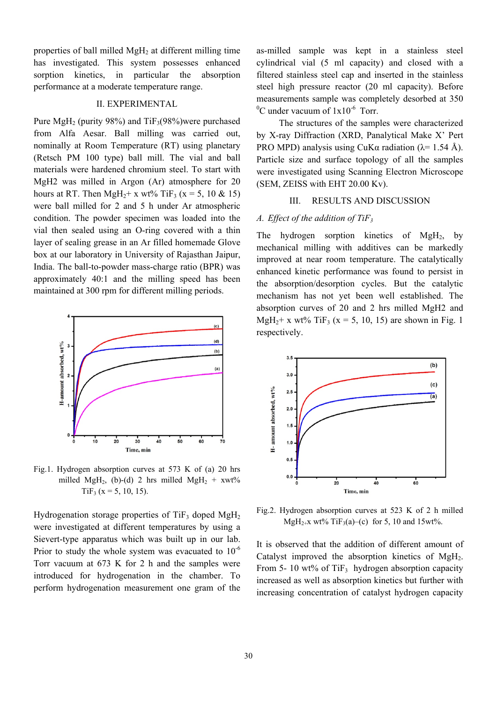properties of ball milled  $MgH_2$  at different milling time has investigated. This system possesses enhanced sorption kinetics, in particular the absorption performance at a moderate temperature range.

## II. EXPERIMENTAL

Pure MgH<sub>2</sub> (purity 98%) and  $TiF_3(98\%)$  were purchased from Alfa Aesar. Ball milling was carried out, nominally at Room Temperature (RT) using planetary (Retsch PM 100 type) ball mill. The vial and ball materials were hardened chromium steel. To start with MgH2 was milled in Argon (Ar) atmosphere for 20 hours at RT. Then MgH<sub>2</sub>+ x wt% TiF<sub>3</sub> (x = 5, 10 & 15) were ball milled for 2 and 5 h under Ar atmospheric condition. The powder specimen was loaded into the vial then sealed using an O-ring covered with a thin layer of sealing grease in an Ar filled homemade Glove box at our laboratory in University of Rajasthan Jaipur, India. The ball-to-powder mass-charge ratio (BPR) was approximately 40:1 and the milling speed has been maintained at 300 rpm for different milling periods.



Fig.1. Hydrogen absorption curves at 573 K of (a) 20 hrs milled MgH<sub>2</sub>, (b)-(d) 2 hrs milled MgH<sub>2</sub> +  $xwt\%$  $TiF_3$  (x = 5, 10, 15).

Hydrogenation storage properties of TiF<sub>3</sub> doped MgH<sub>2</sub> were investigated at different temperatures by using a Sievert-type apparatus which was built up in our lab. Prior to study the whole system was evacuated to  $10^{-6}$ Torr vacuum at 673 K for 2 h and the samples were introduced for hydrogenation in the chamber. To perform hydrogenation measurement one gram of the

as-milled sample was kept in a stainless steel cylindrical vial (5 ml capacity) and closed with a filtered stainless steel cap and inserted in the stainless steel high pressure reactor (20 ml capacity). Before measurements sample was completely desorbed at 350  ${}^{0}$ C under vacuum of  $1x10^{-6}$  Torr.

The structures of the samples were characterized by X-ray Diffraction (XRD, Panalytical Make X' Pert PRO MPD) analysis using CuK $\alpha$  radiation ( $\lambda$ = 1.54 Å). Particle size and surface topology of all the samples were investigated using Scanning Electron Microscope (SEM, ZEISS with EHT 20.00 Kv).

#### III. RESULTS AND DISCUSSION

## *A. Effect of the addition of TiF3*

The hydrogen sorption kinetics of  $MgH<sub>2</sub>$ , by mechanical milling with additives can be markedly improved at near room temperature. The catalytically enhanced kinetic performance was found to persist in the absorption/desorption cycles. But the catalytic mechanism has not yet been well established. The absorption curves of 20 and 2 hrs milled MgH2 and MgH<sub>2</sub>+ x wt% TiF<sub>3</sub> (x = 5, 10, 15) are shown in Fig. 1 respectively.



Fig.2. Hydrogen absorption curves at 523 K of 2 h milled MgH<sub>2+</sub>x wt% TiF<sub>3</sub>(a)–(c) for 5, 10 and 15wt%.

It is observed that the addition of different amount of Catalyst improved the absorption kinetics of MgH<sub>2</sub>. From 5- 10 wt% of TiF<sub>3</sub> hydrogen absorption capacity increased as well as absorption kinetics but further with increasing concentration of catalyst hydrogen capacity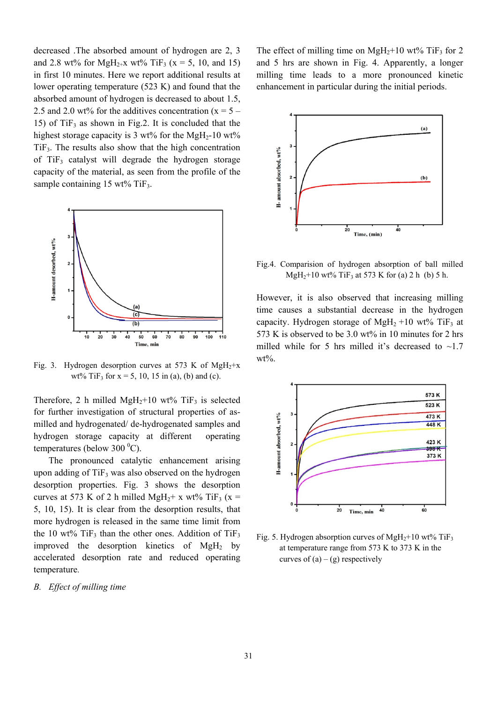decreased .The absorbed amount of hydrogen are 2, 3 and 2.8 wt% for MgH<sub>2+</sub>x wt% TiF<sub>3</sub> (x = 5, 10, and 15) in first 10 minutes. Here we report additional results at lower operating temperature (523 K) and found that the absorbed amount of hydrogen is decreased to about 1.5, 2.5 and 2.0 wt% for the additives concentration  $(x = 5 -$ 15) of  $TiF_3$  as shown in Fig.2. It is concluded that the highest storage capacity is 3 wt% for the MgH<sub>2</sub>-10 wt%  $TiF<sub>3</sub>$ . The results also show that the high concentration of  $TiF_3$  catalyst will degrade the hydrogen storage capacity of the material, as seen from the profile of the sample containing  $15 \text{ wt}$ % TiF<sub>3</sub>.



Fig. 3. Hydrogen desorption curves at 573 K of MgH<sub>2</sub>+x wt% TiF<sub>3</sub> for  $x = 5$ , 10, 15 in (a), (b) and (c).

Therefore, 2 h milled MgH<sub>2</sub>+10 wt% TiF<sub>3</sub> is selected for further investigation of structural properties of asmilled and hydrogenated/ de-hydrogenated samples and hydrogen storage capacity at different operating temperatures (below 300 $\mathrm{^0C}$ ).

The pronounced catalytic enhancement arising upon adding of  $TiF_3$  was also observed on the hydrogen desorption properties. Fig. 3 shows the desorption curves at 573 K of 2 h milled MgH<sub>2</sub>+ x wt% TiF<sub>3</sub> (x = 5, 10, 15). It is clear from the desorption results, that more hydrogen is released in the same time limit from the 10 wt% TiF<sub>3</sub> than the other ones. Addition of TiF<sub>3</sub> improved the desorption kinetics of  $MgH<sub>2</sub>$  by accelerated desorption rate and reduced operating temperature.

#### *B. Effect of milling time*

The effect of milling time on  $MgH_2+10$  wt% TiF<sub>3</sub> for 2 and 5 hrs are shown in Fig. 4. Apparently, a longer milling time leads to a more pronounced kinetic enhancement in particular during the initial periods.



Fig.4. Comparision of hydrogen absorption of ball milled  $MgH_2+10$  wt% TiF<sub>3</sub> at 573 K for (a) 2 h (b) 5 h.

However, it is also observed that increasing milling time causes a substantial decrease in the hydrogen capacity. Hydrogen storage of  $MgH_2 + 10$  wt% TiF<sub>3</sub> at 573 K is observed to be 3.0 wt% in 10 minutes for 2 hrs milled while for 5 hrs milled it's decreased to  $\sim$ 1.7 wt%.



Fig. 5. Hydrogen absorption curves of MgH<sub>2</sub>+10 wt% TiF<sub>3</sub> at temperature range from 573 K to 373 K in the curves of  $(a) - (g)$  respectively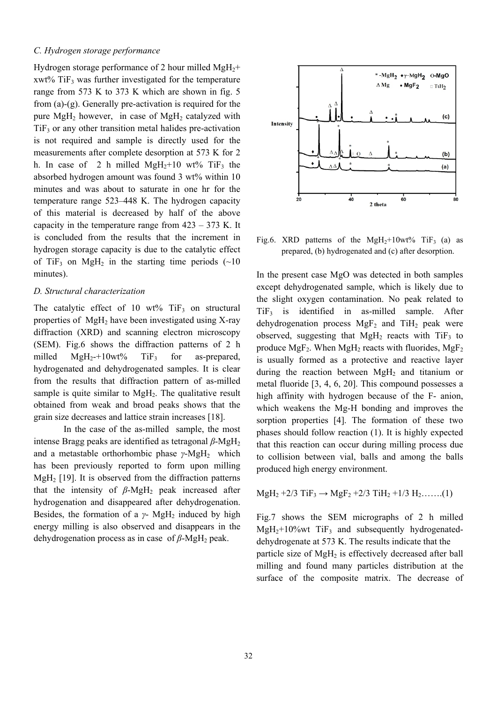### *C. Hydrogen storage performance*

Hydrogen storage performance of 2 hour milled  $MgH_2$ +  $xwt\%$  TiF<sub>3</sub> was further investigated for the temperature range from 573 K to 373 K which are shown in fig. 5 from (a)-(g). Generally pre-activation is required for the pure  $MgH_2$  however, in case of  $MgH_2$  catalyzed with  $TiF<sub>3</sub>$  or any other transition metal halides pre-activation is not required and sample is directly used for the measurements after complete desorption at 573 K for 2 h. In case of 2 h milled  $MgH_2+10$  wt% TiF<sub>3</sub> the absorbed hydrogen amount was found 3 wt% within 10 minutes and was about to saturate in one hr for the temperature range 523–448 K. The hydrogen capacity of this material is decreased by half of the above capacity in the temperature range from  $423 - 373$  K. It is concluded from the results that the increment in hydrogen storage capacity is due to the catalytic effect of TiF<sub>3</sub> on MgH<sub>2</sub> in the starting time periods  $(\sim 10$ minutes).

## *D. Structural characterization*

The catalytic effect of 10 wt%  $TiF_3$  on structural properties of MgH2 have been investigated using X-ray diffraction (XRD) and scanning electron microscopy (SEM). Fig.6 shows the diffraction patterns of 2 h milled  $MgH_2+10wt\%$  TiF<sub>3</sub> for as-prepared, hydrogenated and dehydrogenated samples. It is clear from the results that diffraction pattern of as-milled sample is quite similar to  $MgH<sub>2</sub>$ . The qualitative result obtained from weak and broad peaks shows that the grain size decreases and lattice strain increases [18].

In the case of the as-milled sample, the most intense Bragg peaks are identified as tetragonal *β*-MgH<sub>2</sub> and a metastable orthorhombic phase *γ*-MgH<sub>2</sub> which has been previously reported to form upon milling  $MgH<sub>2</sub>$  [19]. It is observed from the diffraction patterns that the intensity of  $\beta$ -MgH<sub>2</sub> peak increased after hydrogenation and disappeared after dehydrogenation. Besides, the formation of a  $\gamma$ - MgH<sub>2</sub> induced by high energy milling is also observed and disappears in the dehydrogenation process as in case of *β*-MgH<sub>2</sub> peak.



Fig.6. XRD patterns of the  $MgH_2+10wt\%$  TiF<sub>3</sub> (a) as prepared, (b) hydrogenated and (c) after desorption.

In the present case MgO was detected in both samples except dehydrogenated sample, which is likely due to the slight oxygen contamination. No peak related to TiF3 is identified in as-milled sample. After dehydrogenation process  $MgF_2$  and TiH<sub>2</sub> peak were observed, suggesting that  $MgH_2$  reacts with TiF<sub>3</sub> to produce  $MgF_2$ . When  $MgH_2$  reacts with fluorides,  $MgF_2$ is usually formed as a protective and reactive layer during the reaction between  $MgH_2$  and titanium or metal fluoride [3, 4, 6, 20]. This compound possesses a high affinity with hydrogen because of the F- anion, which weakens the Mg-H bonding and improves the sorption properties [4]. The formation of these two phases should follow reaction (1). It is highly expected that this reaction can occur during milling process due to collision between vial, balls and among the balls produced high energy environment.

 $MgH_2 + 2/3$  TiF<sub>3</sub>  $\rightarrow$  MgF<sub>2</sub> + 2/3 TiH<sub>2</sub> + 1/3 H<sub>2</sub>…….(1)

Fig.7 shows the SEM micrographs of 2 h milled  $MgH_2+10\%$  wt TiF<sub>3</sub> and subsequently hydrogenateddehydrogenate at 573 K. The results indicate that the particle size of MgH<sub>2</sub> is effectively decreased after ball milling and found many particles distribution at the surface of the composite matrix. The decrease of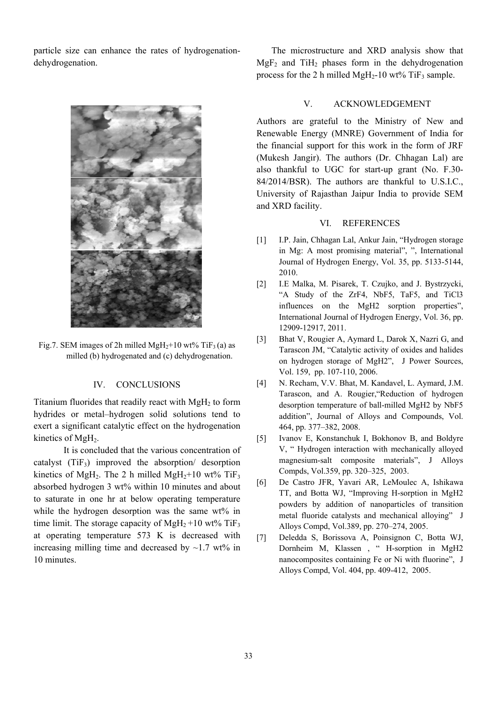particle size can enhance the rates of hydrogenationdehydrogenation.



Fig.7. SEM images of 2h milled MgH<sub>2</sub>+10 wt% TiF<sub>3</sub> (a) as milled (b) hydrogenated and (c) dehydrogenation.

#### IV. CONCLUSIONS

Titanium fluorides that readily react with  $MgH<sub>2</sub>$  to form hydrides or metal–hydrogen solid solutions tend to exert a significant catalytic effect on the hydrogenation kinetics of MgH<sub>2</sub>.

It is concluded that the various concentration of catalyst  $(TiF_3)$  improved the absorption/ desorption kinetics of MgH<sub>2</sub>. The 2 h milled MgH<sub>2</sub>+10 wt% TiF<sub>3</sub> absorbed hydrogen 3 wt% within 10 minutes and about to saturate in one hr at below operating temperature while the hydrogen desorption was the same wt% in time limit. The storage capacity of  $MgH_2+10$  wt% TiF<sub>3</sub> at operating temperature 573 K is decreased with increasing milling time and decreased by  $\sim$ 1.7 wt% in 10 minutes.

The microstructure and XRD analysis show that  $MgF_2$  and TiH<sub>2</sub> phases form in the dehydrogenation process for the 2 h milled MgH<sub>2</sub>-10 wt% TiF<sub>3</sub> sample.

#### V. ACKNOWLEDGEMENT

Authors are grateful to the Ministry of New and Renewable Energy (MNRE) Government of India for the financial support for this work in the form of JRF (Mukesh Jangir). The authors (Dr. Chhagan Lal) are also thankful to UGC for start-up grant (No. F.30- 84/2014/BSR). The authors are thankful to U.S.I.C., University of Rajasthan Jaipur India to provide SEM and XRD facility.

### VI. REFERENCES

- [1] I.P. Jain, Chhagan Lal, Ankur Jain, "Hydrogen storage in Mg: A most promising material", ", International Journal of Hydrogen Energy, Vol. 35, pp. 5133-5144, 2010.
- [2] I.E Malka, M. Pisarek, T. Czujko, and J. Bystrzycki, "A Study of the ZrF4, NbF5, TaF5, and TiCl3 influences on the MgH2 sorption properties", International Journal of Hydrogen Energy, Vol. 36, pp. 12909-12917, 2011.
- [3] Bhat V, Rougier A, Aymard L, Darok X, Nazri G, and Tarascon JM, "Catalytic activity of oxides and halides on hydrogen storage of MgH2", J Power Sources, Vol. 159, pp. 107-110, 2006.
- [4] N. Recham, V.V. Bhat, M. Kandavel, L. Aymard, J.M. Tarascon, and A. Rougier,"Reduction of hydrogen desorption temperature of ball-milled MgH2 by NbF5 addition", Journal of Alloys and Compounds, Vol. 464, pp. 377–382, 2008.
- [5] Ivanov E, Konstanchuk I, Bokhonov B, and Boldyre V, " Hydrogen interaction with mechanically alloyed magnesium-salt composite materials", J Alloys Compds, Vol.359, pp. 320–325, 2003.
- [6] De Castro JFR, Yavari AR, LeMoulec A, Ishikawa TT, and Botta WJ, "Improving H-sorption in MgH2 powders by addition of nanoparticles of transition metal fluoride catalysts and mechanical alloying" J Alloys Compd, Vol.389, pp. 270–274, 2005.
- [7] Deledda S, Borissova A, Poinsignon C, Botta WJ, Dornheim M, Klassen , " H-sorption in MgH2 nanocomposites containing Fe or Ni with fluorine", J Alloys Compd, Vol. 404, pp. 409-412, 2005.